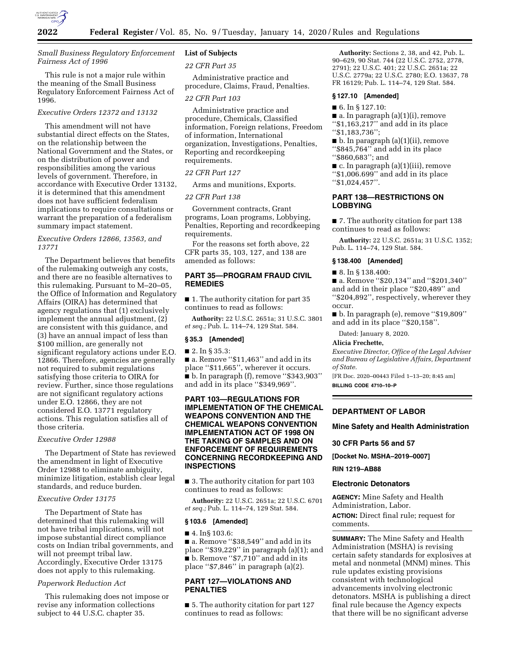

# *Small Business Regulatory Enforcement Fairness Act of 1996*

This rule is not a major rule within the meaning of the Small Business Regulatory Enforcement Fairness Act of 1996.

# *Executive Orders 12372 and 13132*

This amendment will not have substantial direct effects on the States, on the relationship between the National Government and the States, or on the distribution of power and responsibilities among the various levels of government. Therefore, in accordance with Executive Order 13132, it is determined that this amendment does not have sufficient federalism implications to require consultations or warrant the preparation of a federalism summary impact statement.

## *Executive Orders 12866, 13563, and 13771*

The Department believes that benefits of the rulemaking outweigh any costs, and there are no feasible alternatives to this rulemaking. Pursuant to M–20–05, the Office of Information and Regulatory Affairs (OIRA) has determined that agency regulations that (1) exclusively implement the annual adjustment, (2) are consistent with this guidance, and (3) have an annual impact of less than \$100 million, are generally not significant regulatory actions under E.O. 12866. Therefore, agencies are generally not required to submit regulations satisfying those criteria to OIRA for review. Further, since those regulations are not significant regulatory actions under E.O. 12866, they are not considered E.O. 13771 regulatory actions. This regulation satisfies all of those criteria.

#### *Executive Order 12988*

The Department of State has reviewed the amendment in light of Executive Order 12988 to eliminate ambiguity, minimize litigation, establish clear legal standards, and reduce burden.

## *Executive Order 13175*

The Department of State has determined that this rulemaking will not have tribal implications, will not impose substantial direct compliance costs on Indian tribal governments, and will not preempt tribal law. Accordingly, Executive Order 13175 does not apply to this rulemaking.

## *Paperwork Reduction Act*

This rulemaking does not impose or revise any information collections subject to 44 U.S.C. chapter 35.

# **List of Subjects**

*22 CFR Part 35* 

Administrative practice and procedure, Claims, Fraud, Penalties.

#### *22 CFR Part 103*

Administrative practice and procedure, Chemicals, Classified information, Foreign relations, Freedom of information, International organization, Investigations, Penalties, Reporting and recordkeeping requirements.

#### *22 CFR Part 127*

Arms and munitions, Exports.

#### *22 CFR Part 138*

Government contracts, Grant programs, Loan programs, Lobbying, Penalties, Reporting and recordkeeping requirements.

For the reasons set forth above, 22 CFR parts 35, 103, 127, and 138 are amended as follows:

# **PART 35—PROGRAM FRAUD CIVIL REMEDIES**

■ 1. The authority citation for part 35 continues to read as follows:

**Authority:** 22 U.S.C. 2651a; 31 U.S.C. 3801 *et seq.;* Pub. L. 114–74, 129 Stat. 584.

#### **§ 35.3 [Amended]**

## ■ 2. In § 35.3:

■ a. Remove "\$11,463" and add in its place ''\$11,665'', wherever it occurs. ■ b. In paragraph (f), remove ''\$343,903'' and add in its place ''\$349,969''.

## **PART 103—REGULATIONS FOR IMPLEMENTATION OF THE CHEMICAL WEAPONS CONVENTION AND THE CHEMICAL WEAPONS CONVENTION IMPLEMENTATION ACT OF 1998 ON THE TAKING OF SAMPLES AND ON ENFORCEMENT OF REQUIREMENTS CONCERNING RECORDKEEPING AND INSPECTIONS**

■ 3. The authority citation for part 103 continues to read as follows:

**Authority:** 22 U.S.C. 2651a; 22 U.S.C. 6701 *et seq.;* Pub. L. 114–74, 129 Stat. 584.

#### **§ 103.6 [Amended]**

#### ■ 4. In§ 103.6:

■ a. Remove "\$38,549" and add in its place ''\$39,229'' in paragraph (a)(1); and ■ b. Remove "\$7,710" and add in its place ''\$7,846'' in paragraph (a)(2).

# **PART 127—VIOLATIONS AND PENALTIES**

■ 5. The authority citation for part 127 continues to read as follows:

**Authority:** Sections 2, 38, and 42, Pub. L. 90–629, 90 Stat. 744 (22 U.S.C. 2752, 2778, 2791); 22 U.S.C. 401; 22 U.S.C. 2651a; 22 U.S.C. 2779a; 22 U.S.C. 2780; E.O. 13637, 78 FR 16129; Pub. L. 114–74, 129 Stat. 584.

#### **§ 127.10 [Amended]**

#### ■ 6. In § 127.10:

 $\blacksquare$  a. In paragraph (a)(1)(i), remove " $$1,16\overline{3},21\overline{7}"$  and add in its place ''\$1,183,736'';

 $\blacksquare$  b. In paragraph (a)(1)(ii), remove ''\$845,764'' and add in its place ''\$860,683''; and

 $\blacksquare$  c. In paragraph (a)(1)(iii), remove ''\$1,006.699'' and add in its place ''\$1,024,457''.

## **PART 138—RESTRICTIONS ON LOBBYING**

■ 7. The authority citation for part 138 continues to read as follows:

**Authority:** 22 U.S.C. 2651a; 31 U.S.C. 1352; Pub. L. 114–74, 129 Stat. 584.

#### **§ 138.400 [Amended]**

■ 8. In § 138.400:

■ a. Remove "\$20,134" and "\$201,340" and add in their place ''\$20,489'' and ''\$204,892'', respectively, wherever they occur.

■ b. In paragraph (e), remove ''\$19,809'' and add in its place ''\$20,158''.

Dated: January 8, 2020.

## **Alicia Frechette,**

*Executive Director, Office of the Legal Adviser and Bureau of Legislative Affairs, Department of State.* 

[FR Doc. 2020–00443 Filed 1–13–20; 8:45 am] **BILLING CODE 4710–10–P** 

### **DEPARTMENT OF LABOR**

#### **Mine Safety and Health Administration**

#### **30 CFR Parts 56 and 57**

**[Docket No. MSHA–2019–0007]** 

## **RIN 1219–AB88**

#### **Electronic Detonators**

**AGENCY:** Mine Safety and Health Administration, Labor. **ACTION:** Direct final rule; request for

comments.

**SUMMARY:** The Mine Safety and Health Administration (MSHA) is revising certain safety standards for explosives at metal and nonmetal (MNM) mines. This rule updates existing provisions consistent with technological advancements involving electronic detonators. MSHA is publishing a direct final rule because the Agency expects that there will be no significant adverse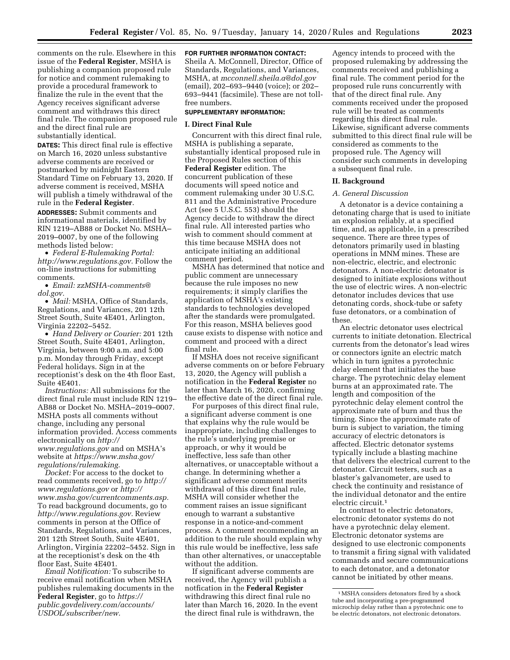comments on the rule. Elsewhere in this issue of the **Federal Register**, MSHA is publishing a companion proposed rule for notice and comment rulemaking to provide a procedural framework to finalize the rule in the event that the Agency receives significant adverse comment and withdraws this direct final rule. The companion proposed rule and the direct final rule are substantially identical.

**DATES:** This direct final rule is effective on March 16, 2020 unless substantive adverse comments are received or postmarked by midnight Eastern Standard Time on February 13, 2020. If adverse comment is received, MSHA will publish a timely withdrawal of the rule in the **Federal Register**.

**ADDRESSES:** Submit comments and informational materials, identified by RIN 1219–AB88 or Docket No. MSHA– 2019–0007, by one of the following methods listed below:

• *Federal E-Rulemaking Portal: [http://www.regulations.gov.](http://www.regulations.gov)* Follow the on-line instructions for submitting comments.

• *Email: [zzMSHA-comments@](mailto:zzMSHA-comments@dol.gov) [dol.gov.](mailto:zzMSHA-comments@dol.gov)* 

• *Mail:* MSHA, Office of Standards, Regulations, and Variances, 201 12th Street South, Suite 4E401, Arlington, Virginia 22202–5452.

• *Hand Delivery or Courier:* 201 12th Street South, Suite 4E401, Arlington, Virginia, between 9:00 a.m. and 5:00 p.m. Monday through Friday, except Federal holidays. Sign in at the receptionist's desk on the 4th floor East, Suite 4E401.

*Instructions:* All submissions for the direct final rule must include RIN 1219– AB88 or Docket No. MSHA–2019–0007. MSHA posts all comments without change, including any personal information provided. Access comments electronically on *[http://](http://www.regulations.gov) [www.regulations.gov](http://www.regulations.gov)* and on MSHA's website at *[https://www.msha.gov/](https://www.msha.gov/regulations/rulemaking) [regulations/rulemaking.](https://www.msha.gov/regulations/rulemaking)* 

*Docket:* For access to the docket to read comments received, go to *[http://](http://www.regulations.gov) [www.regulations.gov](http://www.regulations.gov)* or *[http://](http://www.msha.gov/currentcomments.asp) [www.msha.gov/currentcomments.asp.](http://www.msha.gov/currentcomments.asp)*  To read background documents, go to *[http://www.regulations.gov.](http://www.regulations.gov)* Review comments in person at the Office of Standards, Regulations, and Variances, 201 12th Street South, Suite 4E401, Arlington, Virginia 22202–5452. Sign in at the receptionist's desk on the 4th floor East, Suite 4E401.

*Email Notification:* To subscribe to receive email notification when MSHA publishes rulemaking documents in the **Federal Register**, go to *[https://](https://public.govdelivery.com/accounts/USDOL/subscriber/new) [public.govdelivery.com/accounts/](https://public.govdelivery.com/accounts/USDOL/subscriber/new)  [USDOL/subscriber/new.](https://public.govdelivery.com/accounts/USDOL/subscriber/new)* 

#### **FOR FURTHER INFORMATION CONTACT:**

Sheila A. McConnell, Director, Office of Standards, Regulations, and Variances, MSHA, at *[mcconnell.sheila.a@dol.gov](mailto:mcconnell.sheila.a@dol.gov)*  (email), 202–693–9440 (voice); or 202– 693–9441 (facsimile). These are not tollfree numbers.

## **SUPPLEMENTARY INFORMATION:**

#### **I. Direct Final Rule**

Concurrent with this direct final rule, MSHA is publishing a separate, substantially identical proposed rule in the Proposed Rules section of this **Federal Register** edition. The concurrent publication of these documents will speed notice and comment rulemaking under 30 U.S.C. 811 and the Administrative Procedure Act (see 5 U.S.C. 553) should the Agency decide to withdraw the direct final rule. All interested parties who wish to comment should comment at this time because MSHA does not anticipate initiating an additional comment period.

MSHA has determined that notice and public comment are unnecessary because the rule imposes no new requirements; it simply clarifies the application of MSHA's existing standards to technologies developed after the standards were promulgated. For this reason, MSHA believes good cause exists to dispense with notice and comment and proceed with a direct final rule.

If MSHA does not receive significant adverse comments on or before February 13, 2020, the Agency will publish a notification in the **Federal Register** no later than March 16, 2020, confirming the effective date of the direct final rule.

For purposes of this direct final rule, a significant adverse comment is one that explains why the rule would be inappropriate, including challenges to the rule's underlying premise or approach, or why it would be ineffective, less safe than other alternatives, or unacceptable without a change. In determining whether a significant adverse comment merits withdrawal of this direct final rule, MSHA will consider whether the comment raises an issue significant enough to warrant a substantive response in a notice-and-comment process. A comment recommending an addition to the rule should explain why this rule would be ineffective, less safe than other alternatives, or unacceptable without the addition.

If significant adverse comments are received, the Agency will publish a notfication in the **Federal Register**  withdrawing this direct final rule no later than March 16, 2020. In the event the direct final rule is withdrawn, the

Agency intends to proceed with the proposed rulemaking by addressing the comments received and publishing a final rule. The comment period for the proposed rule runs concurrently with that of the direct final rule. Any comments received under the proposed rule will be treated as comments regarding this direct final rule. Likewise, significant adverse comments submitted to this direct final rule will be considered as comments to the proposed rule. The Agency will consider such comments in developing a subsequent final rule.

#### **II. Background**

#### *A. General Discussion*

A detonator is a device containing a detonating charge that is used to initiate an explosion reliably, at a specified time, and, as applicable, in a prescribed sequence. There are three types of detonators primarily used in blasting operations in MNM mines. These are non-electric, electric, and electronic detonators. A non-electric detonator is designed to initiate explosions without the use of electric wires. A non-electric detonator includes devices that use detonating cords, shock-tube or safety fuse detonators, or a combination of these.

An electric detonator uses electrical currents to initiate detonation. Electrical currents from the detonator's lead wires or connectors ignite an electric match which in turn ignites a pyrotechnic delay element that initiates the base charge. The pyrotechnic delay element burns at an approximated rate. The length and composition of the pyrotechnic delay element control the approximate rate of burn and thus the timing. Since the approximate rate of burn is subject to variation, the timing accuracy of electric detonators is affected. Electric detonator systems typically include a blasting machine that delivers the electrical current to the detonator. Circuit testers, such as a blaster's galvanometer, are used to check the continuity and resistance of the individual detonator and the entire electric circuit <sup>1</sup>

In contrast to electric detonators, electronic detonator systems do not have a pyrotechnic delay element. Electronic detonator systems are designed to use electronic components to transmit a firing signal with validated commands and secure communications to each detonator, and a detonator cannot be initiated by other means.

<sup>1</sup>MSHA considers detonators fired by a shock tube and incorporating a pre-programmed microchip delay rather than a pyrotechnic one to be electric detonators, not electronic detonators.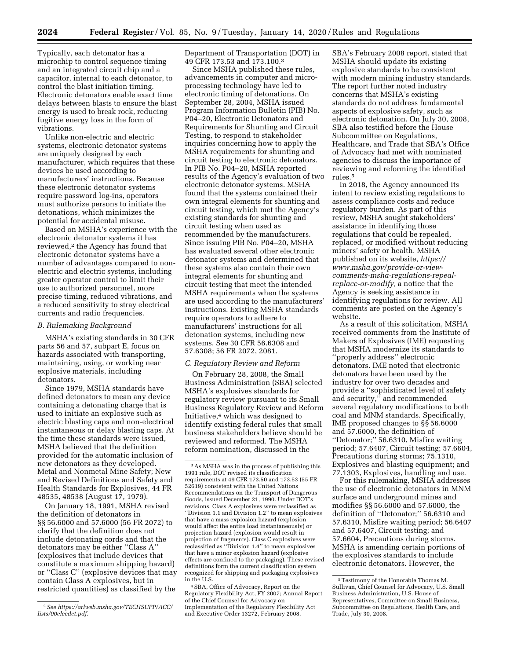Typically, each detonator has a microchip to control sequence timing and an integrated circuit chip and a capacitor, internal to each detonator, to control the blast initiation timing. Electronic detonators enable exact time delays between blasts to ensure the blast energy is used to break rock, reducing fugitive energy loss in the form of vibrations.

Unlike non-electric and electric systems, electronic detonator systems are uniquely designed by each manufacturer, which requires that these devices be used according to manufacturers' instructions. Because these electronic detonator systems require password log-ins, operators must authorize persons to initiate the detonations, which minimizes the potential for accidental misuse.

Based on MSHA's experience with the electronic detonator systems it has reviewed,<sup>2</sup> the Agency has found that electronic detonator systems have a number of advantages compared to nonelectric and electric systems, including greater operator control to limit their use to authorized personnel, more precise timing, reduced vibrations, and a reduced sensitivity to stray electrical currents and radio frequencies.

#### *B. Rulemaking Background*

MSHA's existing standards in 30 CFR parts 56 and 57, subpart E, focus on hazards associated with transporting, maintaining, using, or working near explosive materials, including detonators.

Since 1979, MSHA standards have defined detonators to mean any device containing a detonating charge that is used to initiate an explosive such as electric blasting caps and non-electrical instantaneous or delay blasting caps. At the time these standards were issued, MSHA believed that the definition provided for the automatic inclusion of new detonators as they developed. Metal and Nonmetal Mine Safety; New and Revised Definitions and Safety and Health Standards for Explosives, 44 FR 48535, 48538 (August 17, 1979).

On January 18, 1991, MSHA revised the definition of detonators in §§ 56.6000 and 57.6000 (56 FR 2072) to clarify that the definition does not include detonating cords and that the detonators may be either ''Class A'' (explosives that include devices that constitute a maximum shipping hazard) or ''Class C'' (explosive devices that may contain Class A explosives, but in restricted quantities) as classified by the

Department of Transportation (DOT) in 49 CFR 173.53 and 173.100.3

Since MSHA published these rules, advancements in computer and microprocessing technology have led to electronic timing of detonations. On September 28, 2004, MSHA issued Program Information Bulletin (PIB) No. P04–20, Electronic Detonators and Requirements for Shunting and Circuit Testing, to respond to stakeholder inquiries concerning how to apply the MSHA requirements for shunting and circuit testing to electronic detonators. In PIB No. P04–20, MSHA reported results of the Agency's evaluation of two electronic detonator systems. MSHA found that the systems contained their own integral elements for shunting and circuit testing, which met the Agency's existing standards for shunting and circuit testing when used as recommended by the manufacturers. Since issuing PIB No. P04–20, MSHA has evaluated several other electronic detonator systems and determined that these systems also contain their own integral elements for shunting and circuit testing that meet the intended MSHA requirements when the systems are used according to the manufacturers' instructions. Existing MSHA standards require operators to adhere to manufacturers' instructions for all detonation systems, including new systems. See 30 CFR 56.6308 and 57.6308; 56 FR 2072, 2081.

#### *C. Regulatory Review and Reform*

On February 28, 2008, the Small Business Administration (SBA) selected MSHA's explosives standards for regulatory review pursuant to its Small Business Regulatory Review and Reform Initiative,4 which was designed to identify existing federal rules that small business stakeholders believe should be reviewed and reformed. The MSHA reform nomination, discussed in the

4SBA, Office of Advocacy, Report on the Regulatory Flexibility Act, FY 2007; Annual Report of the Chief Counsel for Advocacy on Implementation of the Regulatory Flexibility Act and Executive Order 13272, February 2008.

SBA's February 2008 report, stated that MSHA should update its existing explosive standards to be consistent with modern mining industry standards. The report further noted industry concerns that MSHA's existing standards do not address fundamental aspects of explosive safety, such as electronic detonation. On July 30, 2008, SBA also testified before the House Subcommittee on Regulations, Healthcare, and Trade that SBA's Office of Advocacy had met with nominated agencies to discuss the importance of reviewing and reforming the identified rules<sup>5</sup>

In 2018, the Agency announced its intent to review existing regulations to assess compliance costs and reduce regulatory burden. As part of this review, MSHA sought stakeholders' assistance in identifying those regulations that could be repealed, replaced, or modified without reducing miners' safety or health. MSHA published on its website, *[https://](https://www.msha.gov/provide-or-view-comments-msha-regulations-repeal-replace-or-modify) www.msha.gov/provide-or-view[comments-msha-regulations-repeal](https://www.msha.gov/provide-or-view-comments-msha-regulations-repeal-replace-or-modify)[replace-or-modify,](https://www.msha.gov/provide-or-view-comments-msha-regulations-repeal-replace-or-modify)* a notice that the Agency is seeking assistance in identifying regulations for review. All comments are posted on the Agency's website.

As a result of this solicitation, MSHA received comments from the Institute of Makers of Explosives (IME) requesting that MSHA modernize its standards to ''properly address'' electronic detonators. IME noted that electronic detonators have been used by the industry for over two decades and provide a ''sophisticated level of safety and security,'' and recommended several regulatory modifications to both coal and MNM standards. Specifically, IME proposed changes to §§ 56.6000 and 57.6000, the definition of ''Detonator;'' 56.6310, Misfire waiting period; 57.6407, Circuit testing; 57.6604, Precautions during storms; 75.1310, Explosives and blasting equipment; and 77.1303, Explosives, handling and use.

For this rulemaking, MSHA addresses the use of electronic detonators in MNM surface and underground mines and modifies §§ 56.6000 and 57.6000, the definition of ''Detonator;'' 56.6310 and 57.6310, Misfire waiting period; 56.6407 and 57.6407, Circuit testing; and 57.6604, Precautions during storms. MSHA is amending certain portions of the explosives standards to include electronic detonators. However, the

<sup>2</sup>*See [https://arlweb.msha.gov/TECHSUPP/ACC/](https://arlweb.msha.gov/TECHSUPP/ACC/lists/00elecdet.pdf) [lists/00elecdet.pdf.](https://arlweb.msha.gov/TECHSUPP/ACC/lists/00elecdet.pdf)* 

<sup>3</sup>As MSHA was in the process of publishing this 1991 rule, DOT revised its classification requirements at 49 CFR 173.50 and 173.53 (55 FR 52619) consistent with the United Nations Recommendations on the Transport of Dangerous Goods, issued December 21, 1990. Under DOT's revisions, Class A explosives were reclassified as ''Division 1.1 and Division 1.2'' to mean explosives that have a mass explosion hazard (explosion would affect the entire load instantaneously) or projection hazard (explosion would result in projection of fragments). Class C explosives were reclassified as ''Division 1.4'' to mean explosives that have a minor explosion hazard (explosive effects are confined to the packaging). These revised definitions form the current classification system recognized for shipping and packaging explosives in the U.S.

<sup>5</sup>Testimony of the Honorable Thomas M. Sullivan, Chief Counsel for Advocacy, U.S. Small Business Administration, U.S. House of Representatives, Committee on Small Business, Subcommittee on Regulations, Health Care, and Trade, July 30, 2008.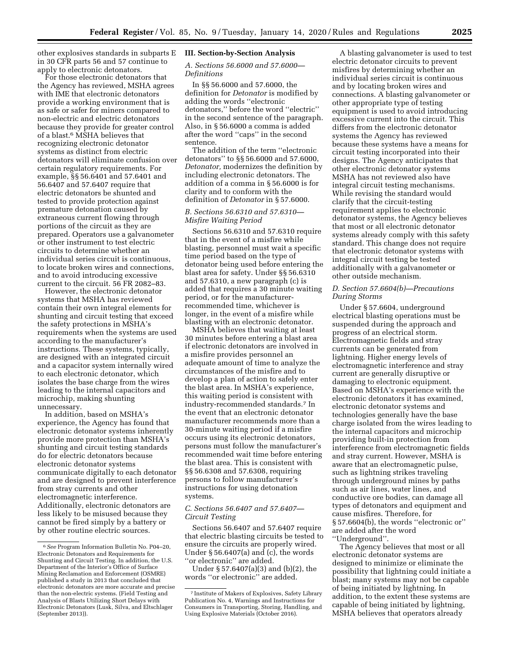other explosives standards in subparts E **III. Section-by-Section Analysis**  in 30 CFR parts 56 and 57 continue to apply to electronic detonators.

For those electronic detonators that the Agency has reviewed, MSHA agrees with IME that electronic detonators provide a working environment that is as safe or safer for miners compared to non-electric and electric detonators because they provide for greater control of a blast.6 MSHA believes that recognizing electronic detonator systems as distinct from electric detonators will eliminate confusion over certain regulatory requirements. For example, §§ 56.6401 and 57.6401 and 56.6407 and 57.6407 require that electric detonators be shunted and tested to provide protection against premature detonation caused by extraneous current flowing through portions of the circuit as they are prepared. Operators use a galvanometer or other instrument to test electric circuits to determine whether an individual series circuit is continuous, to locate broken wires and connections, and to avoid introducing excessive current to the circuit. 56 FR 2082–83.

However, the electronic detonator systems that MSHA has reviewed contain their own integral elements for shunting and circuit testing that exceed the safety protections in MSHA's requirements when the systems are used according to the manufacturer's instructions. These systems, typically, are designed with an integrated circuit and a capacitor system internally wired to each electronic detonator, which isolates the base charge from the wires leading to the internal capacitors and microchip, making shunting unnecessary.

In addition, based on MSHA's experience, the Agency has found that electronic detonator systems inherently provide more protection than MSHA's shunting and circuit testing standards do for electric detonators because electronic detonator systems communicate digitally to each detonator and are designed to prevent interference from stray currents and other electromagnetic interference. Additionally, electronic detonators are less likely to be misused because they cannot be fired simply by a battery or by other routine electric sources.

### *A. Sections 56.6000 and 57.6000— Definitions*

In §§ 56.6000 and 57.6000, the definition for *Detonator* is modified by adding the words ''electronic detonators,'' before the word ''electric'' in the second sentence of the paragraph. Also, in § 56.6000 a comma is added after the word ''caps'' in the second sentence.

The addition of the term ''electronic detonators'' to §§ 56.6000 and 57.6000, *Detonator,* modernizes the definition by including electronic detonators. The addition of a comma in § 56.6000 is for clarity and to conform with the definition of *Detonator* in § 57.6000.

## *B. Sections 56.6310 and 57.6310— Misfire Waiting Period*

Sections 56.6310 and 57.6310 require that in the event of a misfire while blasting, personnel must wait a specific time period based on the type of detonator being used before entering the blast area for safety. Under §§ 56.6310 and 57.6310, a new paragraph (c) is added that requires a 30 minute waiting period, or for the manufacturerrecommended time, whichever is longer, in the event of a misfire while blasting with an electronic detonator.

MSHA believes that waiting at least 30 minutes before entering a blast area if electronic detonators are involved in a misfire provides personnel an adequate amount of time to analyze the circumstances of the misfire and to develop a plan of action to safely enter the blast area. In MSHA's experience, this waiting period is consistent with industry-recommended standards.7 In the event that an electronic detonator manufacturer recommends more than a 30-minute waiting period if a misfire occurs using its electronic detonators, persons must follow the manufacturer's recommended wait time before entering the blast area. This is consistent with §§ 56.6308 and 57.6308, requiring persons to follow manufacturer's instructions for using detonation systems.

## *C. Sections 56.6407 and 57.6407— Circuit Testing*

Sections 56.6407 and 57.6407 require that electric blasting circuits be tested to ensure the circuits are properly wired. Under § 56.6407(a) and (c), the words ''or electronic'' are added.

Under § 57.6407(a)(3) and (b)(2), the words ''or electronic'' are added.

A blasting galvanometer is used to test electric detonator circuits to prevent misfires by determining whether an individual series circuit is continuous and by locating broken wires and connections. A blasting galvanometer or other appropriate type of testing equipment is used to avoid introducing excessive current into the circuit. This differs from the electronic detonator systems the Agency has reviewed because these systems have a means for circuit testing incorporated into their designs. The Agency anticipates that other electronic detonator systems MSHA has not reviewed also have integral circuit testing mechanisms. While revising the standard would clarify that the circuit-testing requirement applies to electronic detonator systems, the Agency believes that most or all electronic detonator systems already comply with this safety standard. This change does not require that electronic detonator systems with integral circuit testing be tested additionally with a galvanometer or other outside mechanism.

# *D. Section 57.6604(b)—Precautions During Storms*

Under § 57.6604, underground electrical blasting operations must be suspended during the approach and progress of an electrical storm. Electromagnetic fields and stray currents can be generated from lightning. Higher energy levels of electromagnetic interference and stray current are generally disruptive or damaging to electronic equipment. Based on MSHA's experience with the electronic detonators it has examined, electronic detonator systems and technologies generally have the base charge isolated from the wires leading to the internal capacitors and microchip providing built-in protection from interference from electromagnetic fields and stray current. However, MSHA is aware that an electromagnetic pulse, such as lightning strikes traveling through underground mines by paths such as air lines, water lines, and conductive ore bodies, can damage all types of detonators and equipment and cause misfires. Therefore, for § 57.6604(b), the words ''electronic or'' are added after the word ''Underground''.

The Agency believes that most or all electronic detonator systems are designed to minimize or eliminate the possibility that lightning could initiate a blast; many systems may not be capable of being initiated by lightning. In addition, to the extent these systems are capable of being initiated by lightning, MSHA believes that operators already

<sup>6</sup>*See* Program Information Bulletin No. P04–20, Electronic Detonators and Requirements for Shunting and Circuit Testing. In addition, the U.S. Department of the Interior's Office of Surface Mining Reclamation and Enforcement (OSMRE) published a study in 2013 that concluded that electronic detonators are more accurate and precise than the non-electric systems. (Field Testing and Analysis of Blasts Utilizing Short Delays with Electronic Detonators (Lusk, Silva, and Eltschlager (September 2013)).

<sup>7</sup> Institute of Makers of Explosives, Safety Library Publication No. 4, Warnings and Instructions for Consumers in Transporting, Storing, Handling, and Using Explosive Materials (October 2016).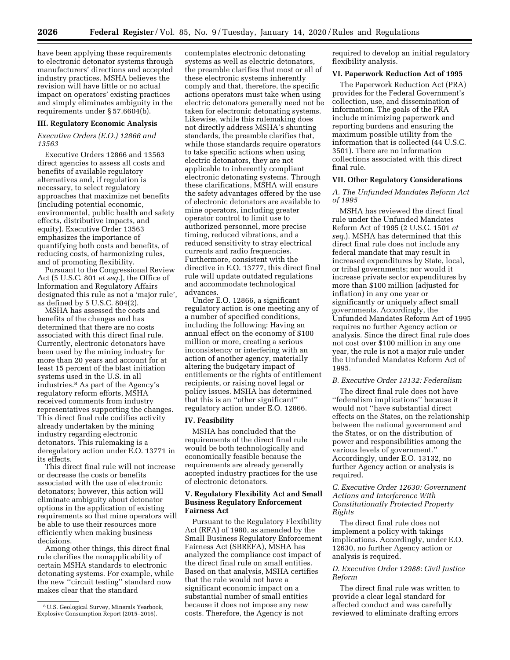have been applying these requirements to electronic detonator systems through manufacturers' directions and accepted industry practices. MSHA believes the revision will have little or no actual impact on operators' existing practices and simply eliminates ambiguity in the requirements under § 57.6604(b).

#### **III. Regulatory Economic Analysis**

#### *Executive Orders (E.O.) 12866 and 13563*

Executive Orders 12866 and 13563 direct agencies to assess all costs and benefits of available regulatory alternatives and, if regulation is necessary, to select regulatory approaches that maximize net benefits (including potential economic, environmental, public health and safety effects, distributive impacts, and equity). Executive Order 13563 emphasizes the importance of quantifying both costs and benefits, of reducing costs, of harmonizing rules, and of promoting flexibility.

Pursuant to the Congressional Review Act (5 U.S.C. 801 *et seq.*), the Office of lnformation and Regulatory Affairs designated this rule as not a 'major rule', as defined by 5 U.S.C. 804(2).

MSHA has assessed the costs and benefits of the changes and has determined that there are no costs associated with this direct final rule. Currently, electronic detonators have been used by the mining industry for more than 20 years and account for at least 15 percent of the blast initiation systems used in the U.S. in all industries.8 As part of the Agency's regulatory reform efforts, MSHA received comments from industry representatives supporting the changes. This direct final rule codifies activity already undertaken by the mining industry regarding electronic detonators. This rulemaking is a deregulatory action under E.O. 13771 in its effects.

This direct final rule will not increase or decrease the costs or benefits associated with the use of electronic detonators; however, this action will eliminate ambiguity about detonator options in the application of existing requirements so that mine operators will be able to use their resources more efficiently when making business decisions.

Among other things, this direct final rule clarifies the nonapplicability of certain MSHA standards to electronic detonating systems. For example, while the new ''circuit testing'' standard now makes clear that the standard

contemplates electronic detonating systems as well as electric detonators, the preamble clarifies that most or all of these electronic systems inherently comply and that, therefore, the specific actions operators must take when using electric detonators generally need not be taken for electronic detonating systems. Likewise, while this rulemaking does not directly address MSHA's shunting standards, the preamble clarifies that, while those standards require operators to take specific actions when using electric detonators, they are not applicable to inherently compliant electronic detonating systems. Through these clarifications, MSHA will ensure the safety advantages offered by the use of electronic detonators are available to mine operators, including greater operator control to limit use to authorized personnel, more precise timing, reduced vibrations, and a reduced sensitivity to stray electrical currents and radio frequencies. Furthermore, consistent with the directive in E.O. 13777, this direct final rule will update outdated regulations and accommodate technological advances.

Under E.O. 12866, a significant regulatory action is one meeting any of a number of specified conditions, including the following: Having an annual effect on the economy of \$100 million or more, creating a serious inconsistency or interfering with an action of another agency, materially altering the budgetary impact of entitlements or the rights of entitlement recipients, or raising novel legal or policy issues. MSHA has determined that this is an ''other significant'' regulatory action under E.O. 12866.

#### **IV. Feasibility**

MSHA has concluded that the requirements of the direct final rule would be both technologically and economically feasible because the requirements are already generally accepted industry practices for the use of electronic detonators.

# **V. Regulatory Flexibility Act and Small Business Regulatory Enforcement Fairness Act**

Pursuant to the Regulatory Flexibility Act (RFA) of 1980, as amended by the Small Business Regulatory Enforcement Fairness Act (SBREFA), MSHA has analyzed the compliance cost impact of the direct final rule on small entities. Based on that analysis, MSHA certifies that the rule would not have a significant economic impact on a substantial number of small entities because it does not impose any new costs. Therefore, the Agency is not

required to develop an initial regulatory flexibility analysis.

## **VI. Paperwork Reduction Act of 1995**

The Paperwork Reduction Act (PRA) provides for the Federal Government's collection, use, and dissemination of information. The goals of the PRA include minimizing paperwork and reporting burdens and ensuring the maximum possible utility from the information that is collected (44 U.S.C. 3501). There are no information collections associated with this direct final rule.

#### **VII. Other Regulatory Considerations**

*A. The Unfunded Mandates Reform Act of 1995* 

MSHA has reviewed the direct final rule under the Unfunded Mandates Reform Act of 1995 (2 U.S.C. 1501 *et seq.*). MSHA has determined that this direct final rule does not include any federal mandate that may result in increased expenditures by State, local, or tribal governments; nor would it increase private sector expenditures by more than \$100 million (adjusted for inflation) in any one year or significantly or uniquely affect small governments. Accordingly, the Unfunded Mandates Reform Act of 1995 requires no further Agency action or analysis. Since the direct final rule does not cost over \$100 million in any one year, the rule is not a major rule under the Unfunded Mandates Reform Act of 1995.

#### *B. Executive Order 13132: Federalism*

The direct final rule does not have ''federalism implications'' because it would not ''have substantial direct effects on the States, on the relationship between the national government and the States, or on the distribution of power and responsibilities among the various levels of government.'' Accordingly, under E.O. 13132, no further Agency action or analysis is required.

## *C. Executive Order 12630: Government Actions and Interference With Constitutionally Protected Property Rights*

The direct final rule does not implement a policy with takings implications. Accordingly, under E.O. 12630, no further Agency action or analysis is required.

# *D. Executive Order 12988: Civil Justice Reform*

The direct final rule was written to provide a clear legal standard for affected conduct and was carefully reviewed to eliminate drafting errors

<sup>8</sup>U.S. Geological Survey, Minerals Yearbook, Explosive Consumption Report (2015–2016).